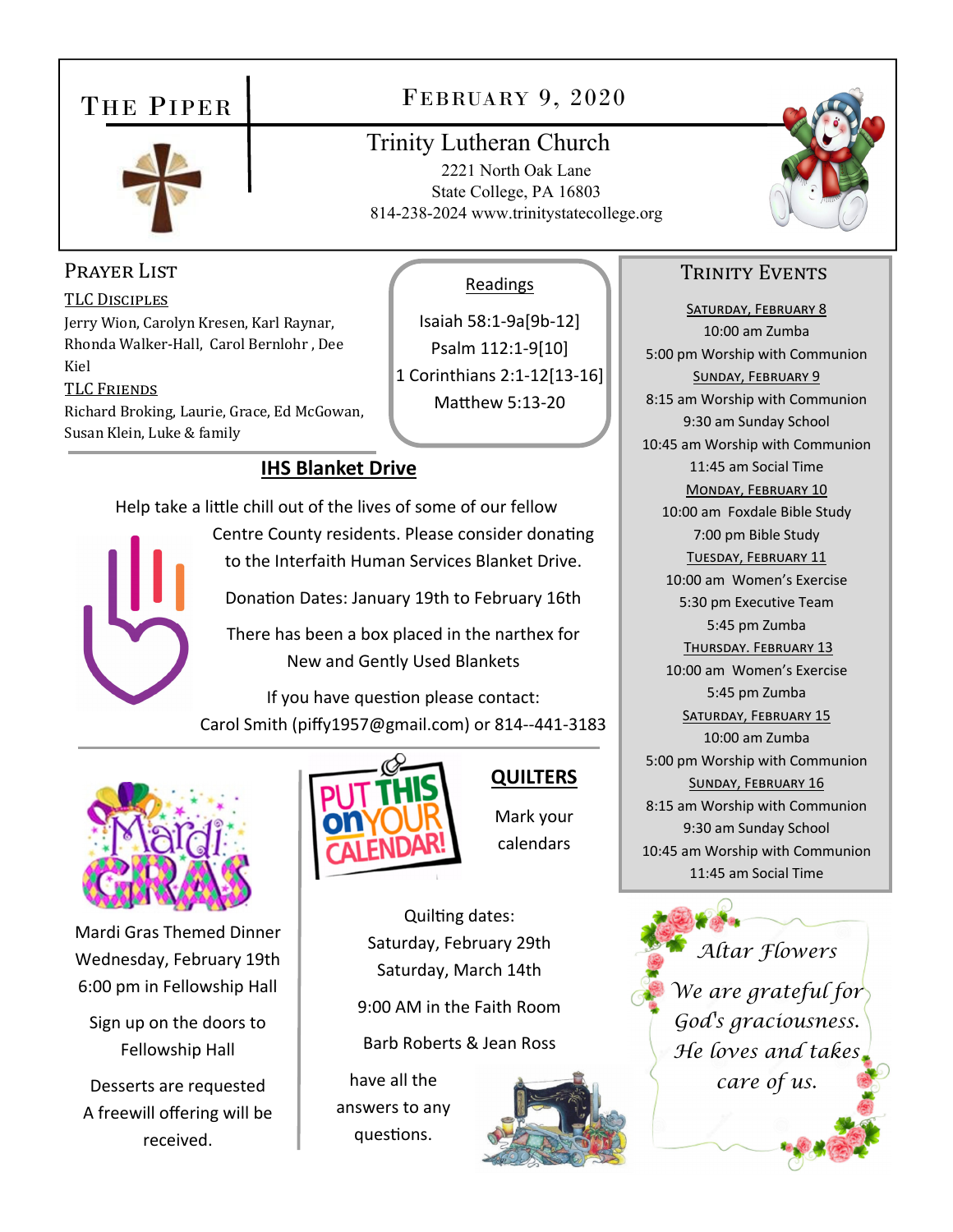## THE PIPER



## FEBRUARY 9, 2020

## Trinity Lutheran Church

2221 North Oak Lane State College, PA 16803 814-238-2024 www.trinitystatecollege.org

Readings

Isaiah 58:1‐9a[9b‐12] Psalm 112:1‐9[10] 1 Corinthians 2:1‐12[13‐16] Matthew 5:13-20



### PRAYER LIST

TLC DISCIPLES Jerry Wion, Carolyn Kresen, Karl Raynar, Rhonda Walker-Hall, Carol Bernlohr , Dee Kiel TLC FRIENDS Richard Broking, Laurie, Grace, Ed McGowan, Susan Klein, Luke & family

#### **IHS Blanket Drive**

Help take a little chill out of the lives of some of our fellow Centre County residents. Please consider donating to the Interfaith Human Services Blanket Drive.

Donation Dates: January 19th to February 16th

There has been a box placed in the narthex for New and Gently Used Blankets

If you have question please contact: Carol Smith (piffy1957@gmail.com) or 814‐‐441‐3183



Mardi Gras Themed Dinner Wednesday, February 19th 6:00 pm in Fellowship Hall

Sign up on the doors to Fellowship Hall

Desserts are requested A freewill offering will be received.



## **QUILTERS**

Mark your calendars

Quilting dates: Saturday, February 29th Saturday, March 14th

9:00 AM in the Faith Room

Barb Roberts & Jean Ross

have all the answers to any questions.



### TRINITY EVENTS

SATURDAY, FEBRUARY 8 10:00 am Zumba 5:00 pm Worship with Communion SUNDAY, FEBRUARY 9 8:15 am Worship with Communion 9:30 am Sunday School 10:45 am Worship with Communion 11:45 am Social Time MONDAY, FEBRUARY 10 10:00 am Foxdale Bible Study 7:00 pm Bible Study TUESDAY, FEBRUARY 11 10:00 am Women's Exercise 5:30 pm Executive Team 5:45 pm Zumba THURSDAY. FEBRUARY 13 10:00 am Women's Exercise 5:45 pm Zumba SATURDAY, FEBRUARY 15 10:00 am Zumba 5:00 pm Worship with Communion SUNDAY, FEBRUARY 16 8:15 am Worship with Communion 9:30 am Sunday School 10:45 am Worship with Communion 11:45 am Social Time

*Altar Flowers We are grateful for God's graciousness. He loves and takes care of us.*